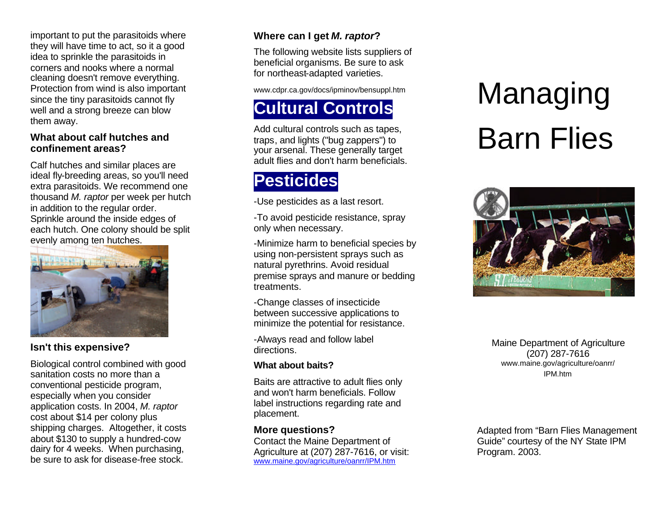important to put the parasitoids where they will have time to act, so it a good idea to sprinkle the parasitoids in corners and nooks where a normal cleaning doesn't remove everything. Protection from wind is also important since the tiny parasitoids cannot fly well and a strong breeze can blow them away.

#### **What about calf hutches and confinement areas?**

Calf hutches and similar places are ideal fly-breeding areas, so you'll need extra parasitoids. We recommend one thousand *M. raptor* per week per hutch in addition to the regular order. Sprinkle around the inside edges of each hutch. One colony should be split evenly among ten hutches.



#### **Isn't this expensive?**

Biological control combined with good sanitation costs no more than a conventional pesticide program, especially when you consider application costs. In 2004, *M. raptor* cost about \$14 per colony plus shipping charges. Altogether, it costs about \$130 to supply a hundred -cow dairy for 4 weeks. When purchasing, be sure to ask for diseas e -free stock.

## **Where can I get** *M. raptor***?**

The following website lists suppliers of beneficial organisms. Be sure to ask for northeast-adapted varieties.

www.cdpr.ca.gov/docs/ipminov/bensuppl.htm

## **Cultural Controls**

Add cultural controls such as tapes, traps, and lights ("bug zappers") to your arsenal. These generally target adult flies and don't harm beneficials.

# **Pesticides**

-Use pesticides as a last resort.

-To avoid pesticide resistance, spray only when necessary.

-Minimize harm to beneficial species by using non-persistent sprays such as natural pyrethrins. Avoid residual premise sprays and manure or bedding treatments.

-Change classes of insecticide between successive applications to

minimize the potential for resistance. -Always read and follow label directions.

#### **What about baits?**

Baits are attractive to adult flies only and won't harm beneficials. Follow label instructions regarding rate and placement.

#### **More questions?**

Contact the Maine Department of Agriculture at (207) 287 -7616, or visit: www.maine.gov/agriculture/oanrr/IPM.htm

# Managing Barn Flies



Maine Department of Agriculture (207) 287 -7616 www.maine.gov/agriculture/oanrr/ IPM.htm

Adapted from "Barn Flies Management Guide" courtesy of the NY State IPM Program. 2003.